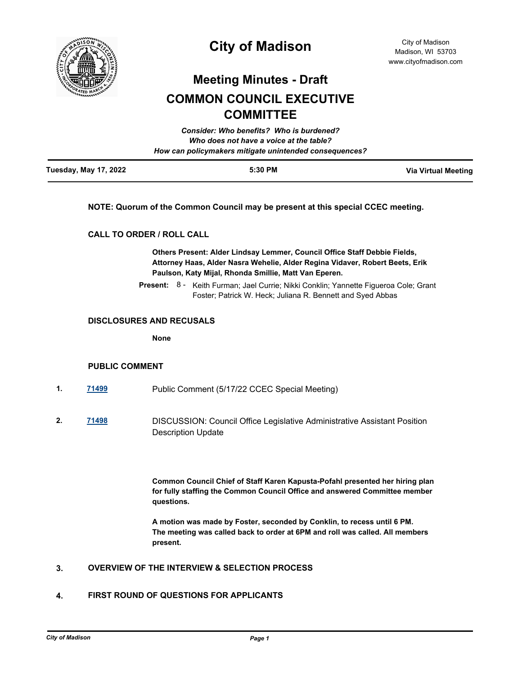

## **City of Madison**

# **Meeting Minutes - Draft**

## **COMMON COUNCIL EXECUTIVE COMMITTEE**

| <b>Tuesday, May 17, 2022</b> | 5:30 PM                                                | <b>Via Virtual Meeting</b> |
|------------------------------|--------------------------------------------------------|----------------------------|
|                              | How can policymakers mitigate unintended consequences? |                            |
|                              | Who does not have a voice at the table?                |                            |
|                              | Consider: Who benefits? Who is burdened?               |                            |

#### **NOTE: Quorum of the Common Council may be present at this special CCEC meeting.**

#### **CALL TO ORDER / ROLL CALL**

**Others Present: Alder Lindsay Lemmer, Council Office Staff Debbie Fields, Attorney Haas, Alder Nasra Wehelie, Alder Regina Vidaver, Robert Beets, Erik Paulson, Katy Mijal, Rhonda Smillie, Matt Van Eperen.**

Present: 8 - Keith Furman; Jael Currie; Nikki Conklin; Yannette Figueroa Cole; Grant Foster; Patrick W. Heck; Juliana R. Bennett and Syed Abbas

#### **DISCLOSURES AND RECUSALS**

**None**

#### **PUBLIC COMMENT**

- **1. [71499](http://madison.legistar.com/gateway.aspx?m=l&id=/matter.aspx?key=83392)** Public Comment (5/17/22 CCEC Special Meeting)
- **2. [71498](http://madison.legistar.com/gateway.aspx?m=l&id=/matter.aspx?key=83391)** DISCUSSION: Council Office Legislative Administrative Assistant Position Description Update

**Common Council Chief of Staff Karen Kapusta-Pofahl presented her hiring plan for fully staffing the Common Council Office and answered Committee member questions.** 

**A motion was made by Foster, seconded by Conklin, to recess until 6 PM. The meeting was called back to order at 6PM and roll was called. All members present.**

### **3. OVERVIEW OF THE INTERVIEW & SELECTION PROCESS**

#### **4. FIRST ROUND OF QUESTIONS FOR APPLICANTS**